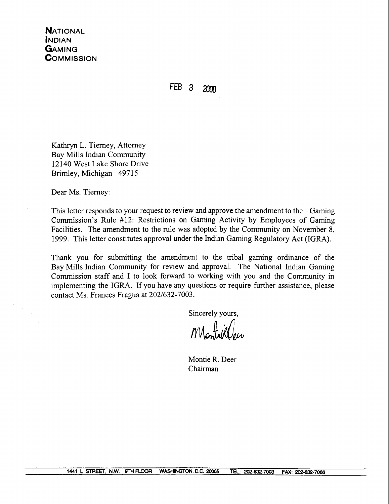FEB<sub>3</sub>  $2000$ 

Kathryn L. Tierney, Attorney Bay Mills Indian Community 12 140 West Lake Shore Drive Brimley, Michigan 49715

Dear Ms. Tierney:

This letter responds to your request to review and approve the amendment to the Gaming Commission's Rule #12: Restrictions on Gaming Activity by Employees of Gaming Facilities. The amendment to the rule was adopted by the Community on November 8, 1999. This letter constitutes approval under the Indian Gaming Regulatory Act (IGRA).

Thank you for submitting the amendment to the tribal gaming ordinance of the Bay Mills Indian Community for review and approval. The National Indian Gaming Commission staff and I to look forward to working with you and the Community in implementing the IGRA. If you have any questions or require further assistance, please contact Ms. Frances Fragua at 202/632-7003.

Sincerely yours,

Montie R. Deer Chairman